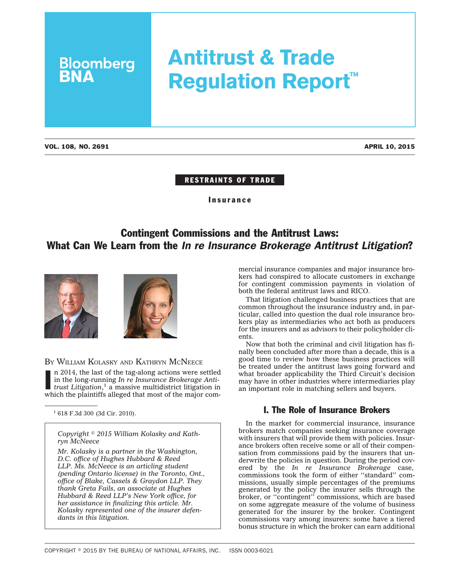# **Antitrust & Trade Regulation Report™**

**Bloomberg**<br>**BNA** 

#### RESTRAINTS OF TRADE

Insurance

# Contingent Commissions and the Antitrust Laws: What Can We Learn from the *In re Insurance Brokerage Antitrust Litigation*?





### BY WILLIAM KOLASKY AND KATHRYN MCNEECE

n 2014, the last of the tag-along actions were settled<br>in the long-running  $In$   $re$  Insurance Brokerage Anti-<br>trust Litigation,<sup>1</sup> a massive multidistrict litigation in<br>which the plaintiffs alleged that most of the major c n 2014, the last of the tag-along actions were settled in the long-running *In re Insurance Brokerage Antitrust Litigation*, <sup>1</sup> a massive multidistrict litigation in

<sup>1</sup> 618 F.3d 300 (3d Cir. 2010).

*Copyright 2015 William Kolasky and Kathryn McNeece*

*Mr. Kolasky is a partner in the Washington, D.C. office of Hughes Hubbard & Reed LLP. Ms. McNeece is an articling student (pending Ontario license) in the Toronto, Ont., office of Blake, Cassels & Graydon LLP. They thank Greta Fails, an associate at Hughes Hubbard & Reed LLP's New York office, for her assistance in finalizing this article. Mr. Kolasky represented one of the insurer defendants in this litigation.*

mercial insurance companies and major insurance brokers had conspired to allocate customers in exchange for contingent commission payments in violation of both the federal antitrust laws and RICO.

That litigation challenged business practices that are common throughout the insurance industry and, in particular, called into question the dual role insurance brokers play as intermediaries who act both as producers for the insurers and as advisors to their policyholder clients.

Now that both the criminal and civil litigation has finally been concluded after more than a decade, this is a good time to review how these business practices will be treated under the antitrust laws going forward and what broader applicability the Third Circuit's decision may have in other industries where intermediaries play an important role in matching sellers and buyers.

# I. The Role of Insurance Brokers

In the market for commercial insurance, insurance brokers match companies seeking insurance coverage with insurers that will provide them with policies. Insurance brokers often receive some or all of their compensation from commissions paid by the insurers that underwrite the policies in question. During the period covered by the *In re Insurance Brokerage* case, commissions took the form of either ''standard'' commissions, usually simple percentages of the premiums generated by the policy the insurer sells through the broker, or ''contingent'' commissions, which are based on some aggregate measure of the volume of business generated for the insurer by the broker. Contingent commissions vary among insurers: some have a tiered bonus structure in which the broker can earn additional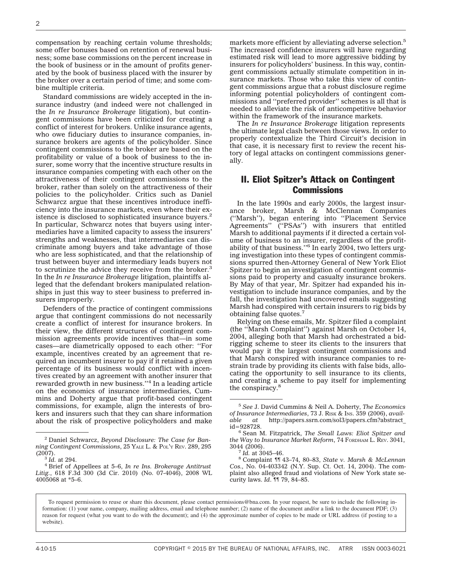compensation by reaching certain volume thresholds; some offer bonuses based on retention of renewal business; some base commissions on the percent increase in the book of business or in the amount of profits generated by the book of business placed with the insurer by the broker over a certain period of time; and some combine multiple criteria.

Standard commissions are widely accepted in the insurance industry (and indeed were not challenged in the *In re Insurance Brokerage* litigation), but contingent commissions have been criticized for creating a conflict of interest for brokers. Unlike insurance agents, who owe fiduciary duties to insurance companies, insurance brokers are agents of the policyholder. Since contingent commissions to the broker are based on the profitability or value of a book of business to the insurer, some worry that the incentive structure results in insurance companies competing with each other on the attractiveness of their contingent commissions to the broker, rather than solely on the attractiveness of their policies to the policyholder. Critics such as Daniel Schwarcz argue that these incentives introduce inefficiency into the insurance markets, even where their existence is disclosed to sophisticated insurance buyers.<sup>2</sup> In particular, Schwarcz notes that buyers using intermediaries have a limited capacity to assess the insurers' strengths and weaknesses, that intermediaries can discriminate among buyers and take advantage of those who are less sophisticated, and that the relationship of trust between buyer and intermediary leads buyers not to scrutinize the advice they receive from the broker.<sup>3</sup> In the *In re Insurance Brokerage* litigation, plaintiffs alleged that the defendant brokers manipulated relationships in just this way to steer business to preferred insurers improperly.

Defenders of the practice of contingent commissions argue that contingent commissions do not necessarily create a conflict of interest for insurance brokers. In their view, the different structures of contingent commission agreements provide incentives that—in some cases—are diametrically opposed to each other: ''For example, incentives created by an agreement that required an incumbent insurer to pay if it retained a given percentage of its business would conflict with incentives created by an agreement with another insurer that rewarded growth in new business.''4 In a leading article on the economics of insurance intermediaries, Cummins and Doherty argue that profit-based contingent commissions, for example, align the interests of brokers and insurers such that they can share information about the risk of prospective policyholders and make markets more efficient by alleviating adverse selection.<sup>5</sup> The increased confidence insurers will have regarding estimated risk will lead to more aggressive bidding by insurers for policyholders' business. In this way, contingent commissions actually stimulate competition in insurance markets. Those who take this view of contingent commissions argue that a robust disclosure regime informing potential policyholders of contingent commissions and ''preferred provider'' schemes is all that is needed to alleviate the risk of anticompetitive behavior within the framework of the insurance markets.

The *In re Insurance Brokerage* litigation represents the ultimate legal clash between those views. In order to properly contextualize the Third Circuit's decision in that case, it is necessary first to review the recent history of legal attacks on contingent commissions generally.

## II. Eliot Spitzer's Attack on Contingent **Commissions**

In the late 1990s and early 2000s, the largest insurance broker, Marsh & McClennan Companies (''Marsh''), began entering into ''Placement Service Agreements'' (''PSAs'') with insurers that entitled Marsh to additional payments if it directed a certain volume of business to an insurer, regardless of the profitability of that business."<sup>6</sup> In early 2004, two letters urging investigation into these types of contingent commissions spurred then-Attorney General of New York Eliot Spitzer to begin an investigation of contingent commissions paid to property and casualty insurance brokers. By May of that year, Mr. Spitzer had expanded his investigation to include insurance companies, and by the fall, the investigation had uncovered emails suggesting Marsh had conspired with certain insurers to rig bids by obtaining false quotes.7

Relying on these emails, Mr. Spitzer filed a complaint (the ''Marsh Complaint'') against Marsh on October 14, 2004, alleging both that Marsh had orchestrated a bidrigging scheme to steer its clients to the insurers that would pay it the largest contingent commissions and that Marsh conspired with insurance companies to restrain trade by providing its clients with false bids, allocating the opportunity to sell insurance to its clients, and creating a scheme to pay itself for implementing the conspiracy.<sup>8</sup>

<sup>2</sup> Daniel Schwarcz, *Beyond Disclosure: The Case for Banning Contingent Commissions*, 25 YALE L. & POL'Y REV. 289, 295

<sup>(2007).</sup> <sup>3</sup> *Id.* at 294. <sup>4</sup> Brief of Appellees at 5–6, *In re Ins. Brokerage Antitrust Litig.*, 618 F.3d 300 (3d Cir. 2010) (No. 07-4046), 2008 WL 4005068 at \*5–6.

<sup>5</sup> *See* J. David Cummins & Neil A. Doherty, *The Economics* of Insurance Intermediaries, 73 J. R<sub>ISK</sub> & I<sub>NS</sub>. 359 (2006), *available* at http://papers.ssrn.com/sol3/papers.cfm?abstract *able at* [http://papers.ssrn.com/sol3/papers.cfm?abstract\\_](http://papers.ssrn.com/sol3/papers.cfm?abstract_id=928728)

<sup>&</sup>lt;sup>6</sup> Sean M. Fitzpatrick, *The Small Laws: Eliot Spitzer and the Way to Insurance Market Reform*, 74 FORDHAM L. REV. 3041,

<sup>3044 (2006).</sup> <sup>7</sup> *Id.* at 3045–46. <sup>8</sup> Complaint ¶¶ 43–74, 80–83, *State v. Marsh & McLennan Cos.,* No. 04-403342 (N.Y. Sup. Ct. Oct. 14, 2004). The complaint also alleged fraud and violations of New York state security laws. *Id*. ¶¶ 79, 84–85.

To request permission to reuse or share this document, please contact permissions@bna.com. In your request, be sure to include the following information: (1) your name, company, mailing address, email and telephone number; (2) name of the document and/or a link to the document PDF; (3) reason for request (what you want to do with the document); and (4) the approximate number of copies to be made or URL address (if posting to a website).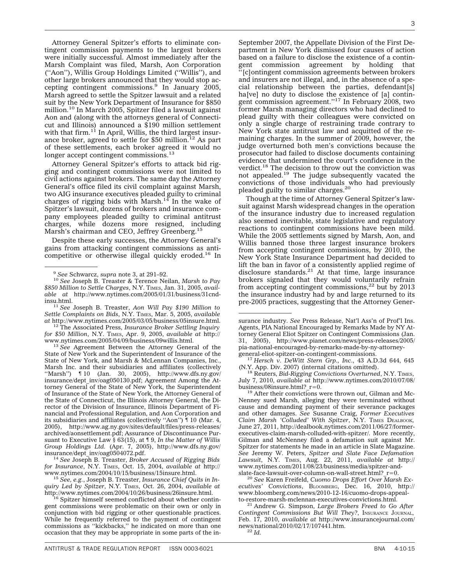Attorney General Spitzer's efforts to eliminate contingent commission payments to the largest brokers were initially successful. Almost immediately after the Marsh Complaint was filed, Marsh, Aon Corporation (''Aon''), Willis Group Holdings Limited (''Willis''), and other large brokers announced that they would stop accepting contingent commissions.9 In January 2005, Marsh agreed to settle the Spitzer lawsuit and a related suit by the New York Department of Insurance for \$850 million.<sup>10</sup> In March 2005, Spitzer filed a lawsuit against Aon and (along with the attorneys general of Connecticut and Illinois) announced a \$190 million settlement with that firm.<sup>11</sup> In April, Willis, the third largest insurance broker, agreed to settle for \$50 million.12 As part of these settlements, each broker agreed it would no longer accept contingent commissions.<sup>13</sup>

Attorney General Spitzer's efforts to attack bid rigging and contingent commissions were not limited to civil actions against brokers. The same day the Attorney General's office filed its civil complaint against Marsh, two AIG insurance executives pleaded guilty to criminal charges of rigging bids with  $Marsh.<sup>14</sup>$  In the wake of Spitzer's lawsuit, dozens of brokers and insurance company employees pleaded guilty to criminal antitrust charges, while dozens more resigned, including Marsh's chairman and CEO, Jeffrey Greenberg.<sup>15</sup>

Despite these early successes, the Attorney General's gains from attacking contingent commissions as anticompetitive or otherwise illegal quickly eroded.16 In

[insu.html.](http://www.nytimes.com/2005/01/31/business/31cnd-insu.html) <sup>11</sup> *See* Joseph B. Treaster, *Aon Will Pay \$190 Million to Settle Complaints on Bids*, N.Y. TIMES, Mar. 5, 2005, *available at* [http://www.nytimes.com/2005/03/05/business/05insure.html.](http://www.nytimes.com/2005/03/05/business/05insure.html)

<sup>12</sup> The Associated Press, *Insurance Broker Settling Inquiry for \$50 Million*, N.Y. TIMES, Apr. 9, 2005, *available at* [http://](http://www.nytimes.com/2005/04/09/business/09willis.html)

<sup>13</sup> See Agreement Between the Attorney General of the State of New York and the Superintendent of Insurance of the State of New York, and Marsh & McLennan Companies, Inc., Marsh Inc. and their subsidiaries and affiliates (collectively ''Marsh'') ¶ 10 (Jan. 30, 2005), [http://www.dfs.ny.gov/](http://www.dfs.ny.gov/insurance/dept_inv/oag050130.pdf) [insurance/dept\\_inv/oag050130.pdf;](http://www.dfs.ny.gov/insurance/dept_inv/oag050130.pdf) Agreement Among the Attorney General of the State of New York, the Superintendent of Insurance of the State of New York, the Attorney General of the State of Connecticut, the Illinois Attorney General, the Director of the Division of Insurance, Illinois Department of Financial and Professional Regulation, and Aon Corporation and its subsidiaries and affiliates (collectively ''Aon'') ¶ 10 (Mar. 4, 2005), [http://www.ag.ny.gov/sites/default/files/press-releases/](http://www.ag.ny.gov/sites/default/files/press-releases/archived/aonsettlement.pdf) [archived/aonsettlement.pdf;](http://www.ag.ny.gov/sites/default/files/press-releases/archived/aonsettlement.pdf) Assurance of Discontinuance Pursuant to Executive Law § 63(15), at ¶ 9, *In the Matter of Willis Group Holdings Ltd.* (Apr. 7, 2005), [http://www.dfs.ny.gov/](http://www.dfs.ny.gov/insurance/dept_inv/oag0504072.pdf)

<sup>14</sup> See Joseph B. Treaster, *Broker Accused of Rigging Bids for Insurance*, N.Y. TIMES, Oct. 15, 2004, *available at* [http://](http://www.nytimes.com/2004/10/15/business/15insure.html)

<sup>15</sup> See, e.g., Joseph B. Treaster, *Insurance Chief Quits in Inquiry Led by Spitzer*, N.Y. TIMES, Oct. 26, 2004, *available at*

<sup>16</sup> Spitzer himself seemed conflicted about whether contingent commissions were problematic on their own or only in conjunction with bid rigging or other questionable practices. While he frequently referred to the payment of contingent commissions as ''kickbacks,'' he indicated on more than one occasion that they may be appropriate in some parts of the in-

September 2007, the Appellate Division of the First Department in New York dismissed four causes of action based on a failure to disclose the existence of a contingent commission agreement by holding that gent commission agreement by holding that ''[c]ontingent commission agreements between brokers and insurers are not illegal, and, in the absence of a special relationship between the parties, defendant[s] ha[ve] no duty to disclose the existence of [a] contingent commission agreement.''17 In February 2008, two former Marsh managing directors who had declined to plead guilty with their colleagues were convicted on only a single charge of restraining trade contrary to New York state antitrust law and acquitted of the remaining charges. In the summer of 2009, however, the judge overturned both men's convictions because the prosecutor had failed to disclose documents containing evidence that undermined the court's confidence in the verdict.<sup>18</sup> The decision to throw out the conviction was not appealed.<sup>19</sup> The judge subsequently vacated the convictions of those individuals who had previously pleaded guilty to similar charges.20

Though at the time of Attorney General Spitzer's lawsuit against Marsh widespread changes in the operation of the insurance industry due to increased regulation also seemed inevitable, state legislative and regulatory reactions to contingent commissions have been mild. While the 2005 settlements signed by Marsh, Aon, and Willis banned those three largest insurance brokers from accepting contingent commissions, by 2010, the New York State Insurance Department had decided to lift the ban in favor of a consistently applied regime of disclosure standards. $21$  At that time, large insurance brokers signaled that they would voluntarily refrain from accepting contingent commissions, $^{22}$  but by 2013 the insurance industry had by and large returned to its pre-2005 practices, suggesting that the Attorney Gener-

[general-eliot-spitzer-on-contingent-commissions.](http://www.pianet.com/news/press-releases/2005/pia-national-encouraged-by-remarks-made-by-ny-attorney-general-eliot-spitzer-on-contingent-commissions)<br><sup>17</sup> *Hersch v. DeWitt Stern Grp., Inc.*, 43 A.D.3d 644, 645 (N.Y. App. Div. 2007) (internal citations omitted).

<sup>18</sup> Reuters, Bid-Rigging Convictions Overturned, N.Y. TIMES, July 7, 2010, *available at* [http://www.nytimes.com/2010/07/08/](http://www.nytimes.com/2010/07/08/business/08insure.html?_r=0)

 $19$  After their convictions were thrown out, Gilman and Mc-Nenney sued Marsh, alleging they were terminated without cause and demanding payment of their severance packages and other damages. *See* Susanne Craig, *Former Executives Claim Marsh 'Colluded' With Spitzer*, N.Y. TIMES DEALBOOK, June 27, 2011, [http://dealbook.nytimes.com/2011/06/27/former](http://dealbook.nytimes.com/2011/06/27/former-executives-claim-marsh-colluded-with-spitzer/)[executives-claim-marsh-colluded-with-spitzer/.](http://dealbook.nytimes.com/2011/06/27/former-executives-claim-marsh-colluded-with-spitzer/) More recently, Gilman and McNenney filed a defamation suit against Mr. Spitzer for statements he made in an article in Slate Magazine. *See* Jeremy W. Peters, *Spitzer and Slate Face Defamation Lawsuit*, N.Y. TIMES, Aug. 22, 2011, *available at* [http://](http://www.nytimes.com/2011/08/23/business/media/spitzer-and-slate-face-lawsuit-over-column-on-wall-street.html?_r=0) www.nytimes.com/2011/08/23/business/media/spitzer-and-<br>slate-face-lawsuit-over-column-on-wall-street.html? r=0.

<sup>20</sup> See Karen Freifeld, Cuomo Drops Effort Over Marsh Ex*ecutives' Convictions*, BLOOMBERG, Dec. 16, 2010, [http://](http://www.bloomberg.com/news/2010-12-16/cuomo-drops-appeal-to-restore-marsh-mclennan-executives-convictions.html) [www.bloomberg.com/news/2010-12-16/cuomo-drops-appeal-](http://www.bloomberg.com/news/2010-12-16/cuomo-drops-appeal-to-restore-marsh-mclennan-executives-convictions.html)

[to-restore-marsh-mclennan-executives-convictions.html.](http://www.bloomberg.com/news/2010-12-16/cuomo-drops-appeal-to-restore-marsh-mclennan-executives-convictions.html) <sup>21</sup> Andrew G. Simpson, *Large Brokers Freed to Go After Contingent Commissions But Will They?*, INSURANCE JOURNAL, Feb. 17, 2010, *available at* [http://www.insurancejournal.com/](http://www.insurancejournal.com/news/national/2010/02/17/107441.htm) [news/national/2010/02/17/107441.htm.](http://www.insurancejournal.com/news/national/2010/02/17/107441.htm) <sup>22</sup> *Id.*

<sup>9</sup> *See* Schwarcz, *supra* note 3, at 291–92. <sup>10</sup> *See* Joseph B. Treaster & Terence Neilan, *Marsh to Pay* \$850 Million to Settle Charges, N.Y. TIMES, Jan. 31, 2005, avail*able at* [http://www.nytimes.com/2005/01/31/business/31cnd-](http://www.nytimes.com/2005/01/31/business/31cnd-insu.html)

surance industry. *See* Press Release, Nat'l Ass'n of Prof'l Ins. Agents, PIA National Encouraged by Remarks Made by NY Attorney General Eliot Spitzer on Contingent Commissions (Jan. 31, 2005), [http://www.pianet.com/news/press-releases/2005/](http://www.pianet.com/news/press-releases/2005/pia-national-encouraged-by-remarks-made-by-ny-attorney-general-eliot-spitzer-on-contingent-commissions) [pia-national-encouraged-by-remarks-made-by-ny-attorney-](http://www.pianet.com/news/press-releases/2005/pia-national-encouraged-by-remarks-made-by-ny-attorney-general-eliot-spitzer-on-contingent-commissions)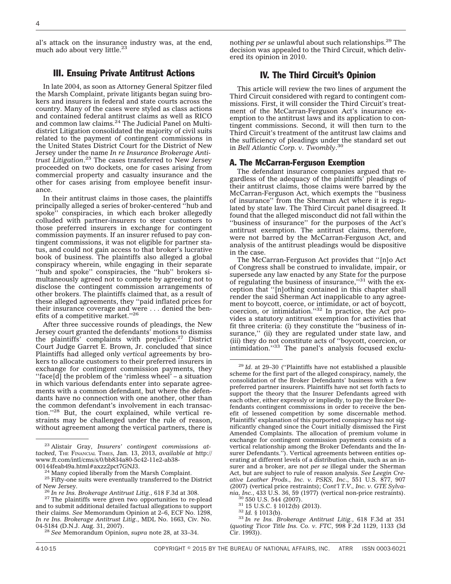al's attack on the insurance industry was, at the end, much ado about very little.<sup>23</sup>

#### III. Ensuing Private Antitrust Actions

In late 2004, as soon as Attorney General Spitzer filed the Marsh Complaint, private litigants began suing brokers and insurers in federal and state courts across the country. Many of the cases were styled as class actions and contained federal antitrust claims as well as RICO and common law claims.<sup>24</sup> The Judicial Panel on Multidistrict Litigation consolidated the majority of civil suits related to the payment of contingent commissions in the United States District Court for the District of New Jersey under the name *In re Insurance Brokerage Antitrust Litigation*. <sup>25</sup> The cases transferred to New Jersey proceeded on two dockets, one for cases arising from commercial property and casualty insurance and the other for cases arising from employee benefit insurance.

In their antitrust claims in those cases, the plaintiffs principally alleged a series of broker-centered ''hub and spoke'' conspiracies, in which each broker allegedly colluded with partner-insurers to steer customers to those preferred insurers in exchange for contingent commission payments. If an insurer refused to pay contingent commissions, it was not eligible for partner status, and could not gain access to that broker's lucrative book of business. The plaintiffs also alleged a global conspiracy wherein, while engaging in their separate "hub and spoke" conspiracies, the "hub" brokers simultaneously agreed not to compete by agreeing not to disclose the contingent commission arrangements of other brokers. The plaintiffs claimed that, as a result of these alleged agreements, they ''paid inflated prices for their insurance coverage and were . . . denied the benefits of a competitive market.''26

After three successive rounds of pleadings, the New Jersey court granted the defendants' motions to dismiss the plaintiffs' complaints with prejudice.<sup>27</sup> District Court Judge Garret E. Brown, Jr. concluded that since Plaintiffs had alleged only *vertical* agreements by brokers to allocate customers to their preferred insurers in exchange for contingent commission payments, they ''face[d] the problem of the 'rimless wheel' – a situation in which various defendants enter into separate agreements with a common defendant, but where the defendants have no connection with one another, other than the common defendant's involvement in each transaction.''28 But, the court explained, while vertical restraints may be challenged under the rule of reason, without agreement among the vertical partners, there is

nothing *per se* unlawful about such relationships.29 The decision was appealed to the Third Circuit, which delivered its opinion in 2010.

#### IV. The Third Circuit's Opinion

This article will review the two lines of argument the Third Circuit considered with regard to contingent commissions. First, it will consider the Third Circuit's treatment of the McCarran-Ferguson Act's insurance exemption to the antitrust laws and its application to contingent commissions. Second, it will then turn to the Third Circuit's treatment of the antitrust law claims and the sufficiency of pleadings under the standard set out in *Bell Atlantic Corp. v. Twombly*. 30

#### A. The McCarran-Ferguson Exemption

The defendant insurance companies argued that regardless of the adequacy of the plaintiffs' pleadings of their antitrust claims, those claims were barred by the McCarran-Ferguson Act, which exempts the ''business of insurance'' from the Sherman Act where it is regulated by state law. The Third Circuit panel disagreed. It found that the alleged misconduct did not fall within the ''business of insurance'' for the purposes of the Act's antitrust exemption. The antitrust claims, therefore, were not barred by the McCarran-Ferguson Act, and analysis of the antitrust pleadings would be dispositive in the case.

The McCarran-Ferguson Act provides that ''[n]o Act of Congress shall be construed to invalidate, impair, or supersede any law enacted by any State for the purpose of regulating the business of insurance,''31 with the exception that ''[n]othing contained in this chapter shall render the said Sherman Act inapplicable to any agreement to boycott, coerce, or intimidate, or act of boycott, coercion, or intimidation.<sup>''32</sup> In practice, the Act provides a statutory antitrust exemption for activities that fit three criteria: (i) they constitute the ''business of insurance," (ii) they are regulated under state law, and (iii) they do not constitute acts of ''boycott, coercion, or intimidation."<sup>33</sup> The panel's analysis focused exclu-

<sup>23</sup> Alistair Gray, *Insurers' contingent commissions attacked*, THE FINANCIAL TIMES, Jan. 13, 2013, *available at* [http://](http://www.ft.com/intl/cms/s/0/bb834a80-5c42-11e2-ab38-00144feab49a.html#axzz2pct7GNJ3) [www.ft.com/intl/cms/s/0/bb834a80-5c42-11e2-ab38-](http://www.ft.com/intl/cms/s/0/bb834a80-5c42-11e2-ab38-00144feab49a.html#axzz2pct7GNJ3)00144feab49a.html#axzz2pct7GNJ3.

<sup>&</sup>lt;sup>24</sup> Many copied liberally from the Marsh Complaint.<br><sup>25</sup> Fifty-one suits were eventually transferred to the District of New Jersey.

<sup>&</sup>lt;sup>26</sup> *In re Ins. Brokerage Antitrust Litig.*, 618 F.3d at 308. <sup>27</sup> The plaintiffs were given two opportunities to re-plead and to submit additional detailed factual allegations to support their claims. *See* Memorandum Opinion at 2–6, ECF No. 1298, *In re Ins. Brokerage Antitrust Litig.*, MDL No. 1663, Civ. No.

<sup>&</sup>lt;sup>28</sup> See Memorandum Opinion, *supra* note 28, at 33–34.

<sup>29</sup> *Id*. at 29–30 (''Plaintiffs have not established a plausible scheme for the first part of the alleged conspiracy, namely, the consolidation of the Broker Defendants' business with a few preferred partner insurers. Plaintiffs have not set forth facts to support the theory that the Insurer Defendants agreed with each other, either expressly or impliedly, to pay the Broker Defendants contingent commissions in order to receive the benefit of lessened competition by some discernable method. Plaintiffs' explanation of this purported conspiracy has not significantly changed since the Court initially dismissed the First Amended Complaints. The allocation of premium volume in exchange for contingent commission payments consists of a vertical relationship among the Broker Defendants and the Insurer Defendants.''). Vertical agreements between entities operating at different levels of a distribution chain, such as an insurer and a broker, are not *per se* illegal under the Sherman Act, but are subject to rule of reason analysis. *See Leegin Creative Leather Prods., Inc. v. PSKS, Inc*., 551 U.S. 877, 907 (2007) (vertical price restraints); *Cont'l T.V*.*, Inc. v. GTE Sylvania, Inc.*, 433 U.S. 36, 59 (1977) (vertical non-price restraints). <sup>30</sup> 550 U.S. 544 (2007). <sup>31</sup> 15 U.S.C. § 1012(b) (2013). <sup>32</sup> *Id.* § 1013(b). <sup>33</sup> *In re Ins. Brokerage Antitrust Litig.*, 618 F.3d at 351

<sup>(</sup>*quoting Ticor Title Ins. Co. v. FTC*, 998 F.2d 1129, 1133 (3d Cir. 1993)).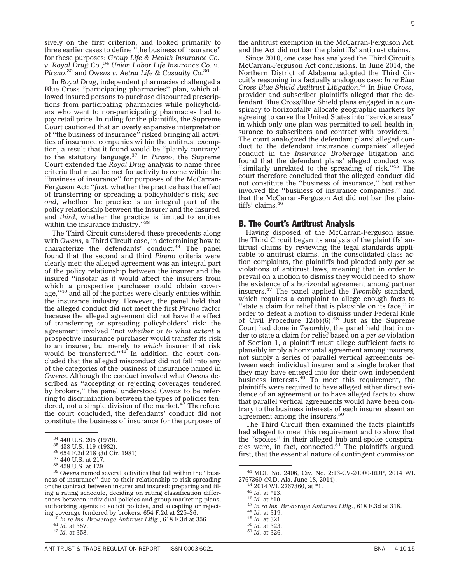sively on the first criterion, and looked primarily to three earlier cases to define ''the business of insurance'' for these purposes: *Group Life & Health Insurance Co. v. Royal Drug Co.*, <sup>34</sup> *Union Labor Life Insurance Co. v. Pireno*, <sup>35</sup> and *Owens v. Aetna Life & Casualty Co.*<sup>36</sup>

In *Royal Drug*, independent pharmacies challenged a Blue Cross ''participating pharmacies'' plan, which allowed insured persons to purchase discounted prescriptions from participating pharmacies while policyholders who went to non-participating pharmacies had to pay retail price. In ruling for the plaintiffs, the Supreme Court cautioned that an overly expansive interpretation of ''the business of insurance'' risked bringing all activities of insurance companies within the antitrust exemption, a result that it found would be ''plainly contrary'' to the statutory language.37 In *Pireno*, the Supreme Court extended the *Royal Drug* analysis to name three criteria that must be met for activity to come within the ''business of insurance'' for purposes of the McCarran-Ferguson Act: ''*first*, whether the practice has the effect of transferring or spreading a policyholder's risk; *second*, whether the practice is an integral part of the policy relationship between the insurer and the insured; and *third*, whether the practice is limited to entities within the insurance industry."38

The Third Circuit considered these precedents along with *Owens*, a Third Circuit case, in determining how to characterize the defendants' conduct.39 The panel found that the second and third *Pireno* criteria were clearly met: the alleged agreement was an integral part of the policy relationship between the insurer and the insured ''insofar as it would affect the insurers from which a prospective purchaser could obtain coverage,"<sup>40</sup> and all of the parties were clearly entities within the insurance industry. However, the panel held that the alleged conduct did not meet the first *Pireno* factor because the alleged agreement did not have the effect of transferring or spreading policyholders' risk: the agreement involved ''not *whether* or *to what extent* a prospective insurance purchaser would transfer its risk to an insurer, but merely to *which* insurer that risk<br>would be transferred.''<sup>41</sup> In addition, the court concluded that the alleged misconduct did not fall into any of the categories of the business of insurance named in *Owens*. Although the conduct involved what *Owens* described as ''accepting or rejecting coverages tendered by brokers,'' the panel understood *Owens* to be referring to discrimination between the types of policies tendered, not a simple division of the market. $42$  Therefore, the court concluded, the defendants' conduct did not constitute the business of insurance for the purposes of

the antitrust exemption in the McCarran-Ferguson Act, and the Act did not bar the plaintiffs' antitrust claims.

Since 2010, one case has analyzed the Third Circuit's McCarran-Ferguson Act conclusions. In June 2014, the Northern District of Alabama adopted the Third Circuit's reasoning in a factually analogous case: *In re Blue Cross Blue Shield Antitrust Litigation*. <sup>43</sup> In *Blue Cross*, provider and subscriber plaintiffs alleged that the defendant Blue Cross/Blue Shield plans engaged in a conspiracy to horizontally allocate geographic markets by agreeing to carve the United States into ''service areas'' in which only one plan was permitted to sell health insurance to subscribers and contract with providers.<sup>44</sup> The court analogized the defendant plans' alleged conduct to the defendant insurance companies' alleged conduct in the *Insurance Brokerage* litigation and found that the defendant plans' alleged conduct was "similarly unrelated to the spreading of risk."<sup>45</sup> The court therefore concluded that the alleged conduct did not constitute the ''business of insurance,'' but rather involved the ''business of insurance companies,'' and that the McCarran-Ferguson Act did not bar the plaintiffs' claims.<sup>46</sup>

#### B. The Court's Antitrust Analysis

Having disposed of the McCarran-Ferguson issue, the Third Circuit began its analysis of the plaintiffs' antitrust claims by reviewing the legal standards applicable to antitrust claims. In the consolidated class action complaints, the plaintiffs had pleaded only *per se* violations of antitrust laws, meaning that in order to prevail on a motion to dismiss they would need to show the existence of a horizontal agreement among partner insurers.47 The panel applied the *Twombly* standard, which requires a complaint to allege enough facts to ''state a claim for relief that is plausible on its face,'' in order to defeat a motion to dismiss under Federal Rule of Civil Procedure  $12(b)(6)$ .<sup>48</sup> Just as the Supreme Court had done in *Twombly*, the panel held that in order to state a claim for relief based on a *per se* violation of Section 1, a plaintiff must allege sufficient facts to plausibly imply a horizontal agreement among insurers, not simply a series of parallel vertical agreements between each individual insurer and a single broker that they may have entered into for their own independent business interests.<sup>49</sup> To meet this requirement, the plaintiffs were required to have alleged either direct evidence of an agreement or to have alleged facts to show that parallel vertical agreements would have been contrary to the business interests of each insurer absent an<br>agreement among the insurers.<sup>50</sup>

The Third Circuit then examined the facts plaintiffs had alleged to meet this requirement and to show that the ''spokes'' in their alleged hub-and-spoke conspiracies were, in fact, connected.<sup>51</sup> The plaintiffs argued, first, that the essential nature of contingent commission

<sup>&</sup>lt;sup>34</sup> 440 U.S. 205 (1979).<br><sup>35</sup> 458 U.S. 119 (1982).<br><sup>36</sup> 654 F.2d 218 (3d Cir. 1981).<br><sup>37</sup> 440 U.S. at 217.<br><sup>38</sup> 458 U.S. at 129.<br><sup>39</sup> *Owens* named several activities that fall within the "business of insurance'' due to their relationship to risk-spreading or the contract between insurer and insured: preparing and filing a rating schedule, deciding on rating classification differences between individual policies and group marketing plans, authorizing agents to solicit policies, and accepting or rejecting coverage tendered by brokers. 654 F.2d at 225–26. <sup>40</sup> *In re Ins. Brokerage Antitrust Litig.*, 618 F.3d at 356. <sup>41</sup> *Id.* at 357. <sup>42</sup> *Id.* at 358.

<sup>43</sup> MDL No. 2406, Civ. No. 2:13-CV-20000-RDP, 2014 WL

<sup>&</sup>lt;sup>44</sup> 2014 WL 2767360, at \*1.<br>
<sup>45</sup> Id. at \*13.<br>
<sup>46</sup> Id. at \*10.<br>
<sup>47</sup> In re Ins. Brokerage Antitrust Litig., 618 F.3d at 318.<br>
<sup>47</sup> In the Islam Blue Antitrust Litig., 618 F.3d at 318.<br>
<sup>49</sup> Id. at 321.<br>
<sup>50</sup> Id. at 323.